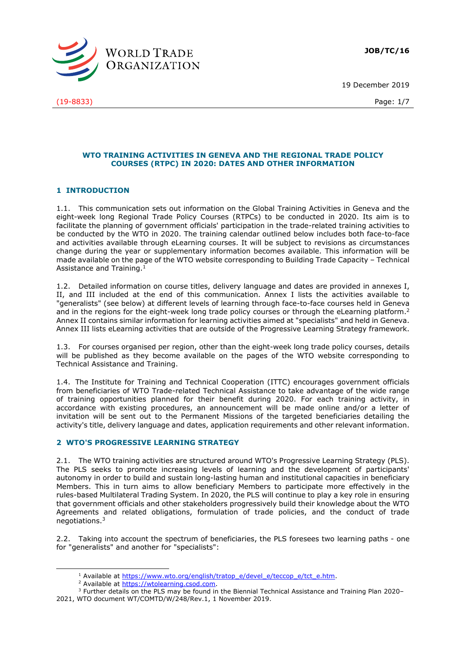

19 December 2019

#### **WTO TRAINING ACTIVITIES IN GENEVA AND THE REGIONAL TRADE POLICY COURSES (RTPC) IN 2020: DATES AND OTHER INFORMATION**

#### **1 INTRODUCTION**

1.1. This communication sets out information on the Global Training Activities in Geneva and the eight-week long Regional Trade Policy Courses (RTPCs) to be conducted in 2020. Its aim is to facilitate the planning of government officials' participation in the trade-related training activities to be conducted by the WTO in 2020. The training calendar outlined below includes both face-to-face and activities available through eLearning courses. It will be subject to revisions as circumstances change during the year or supplementary information becomes available. This information will be made available on the page of the WTO website corresponding to Building Trade Capacity – Technical Assistance and Training.<sup>1</sup>

1.2. Detailed information on course titles, delivery language and dates are provided in annexes I, II, and III included at the end of this communication. Annex I lists the activities available to "generalists" (see below) at different levels of learning through face-to-face courses held in Geneva and in the regions for the eight-week long trade policy courses or through the eLearning platform.<sup>2</sup> Annex II contains similar information for learning activities aimed at "specialists" and held in Geneva. Annex III lists eLearning activities that are outside of the Progressive Learning Strategy framework.

1.3. For courses organised per region, other than the eight-week long trade policy courses, details will be published as they become available on the pages of the WTO website corresponding to Technical Assistance and Training.

1.4. The Institute for Training and Technical Cooperation (ITTC) encourages government officials from beneficiaries of WTO Trade-related Technical Assistance to take advantage of the wide range of training opportunities planned for their benefit during 2020. For each training activity, in accordance with existing procedures, an announcement will be made online and/or a letter of invitation will be sent out to the Permanent Missions of the targeted beneficiaries detailing the activity's title, delivery language and dates, application requirements and other relevant information.

#### **2 WTO'S PROGRESSIVE LEARNING STRATEGY**

2.1. The WTO training activities are structured around WTO's Progressive Learning Strategy (PLS). The PLS seeks to promote increasing levels of learning and the development of participants' autonomy in order to build and sustain long-lasting human and institutional capacities in beneficiary Members. This in turn aims to allow beneficiary Members to participate more effectively in the rules-based Multilateral Trading System. In 2020, the PLS will continue to play a key role in ensuring that government officials and other stakeholders progressively build their knowledge about the WTO Agreements and related obligations, formulation of trade policies, and the conduct of trade negotiations.<sup>3</sup>

2.2. Taking into account the spectrum of beneficiaries, the PLS foresees two learning paths - one for "generalists" and another for "specialists":

<sup>&</sup>lt;sup>1</sup> Available at [https://www.wto.org/english/tratop\\_e/devel\\_e/teccop\\_e/tct\\_e.htm.](https://www.wto.org/english/tratop_e/devel_e/teccop_e/tct_e.htm)

<sup>&</sup>lt;sup>2</sup> Available at [https://wtolearning.csod.com.](https://wtolearning.csod.com/)

<sup>3</sup> Further details on the PLS may be found in the Biennial Technical Assistance and Training Plan 2020– 2021, WTO document WT/COMTD/W/248/Rev.1, 1 November 2019.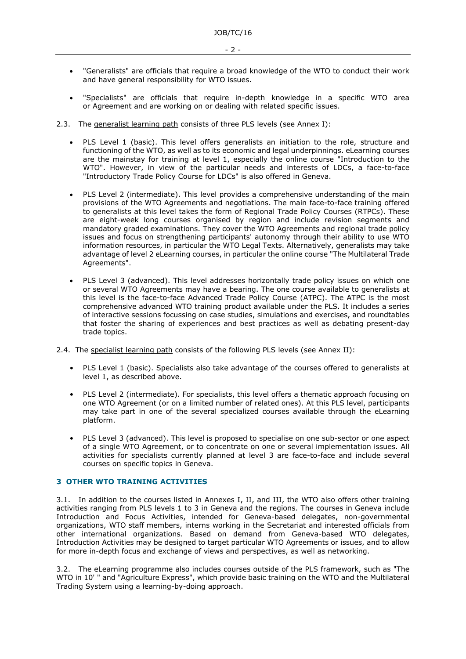- $-2 -$
- "Generalists" are officials that require a broad knowledge of the WTO to conduct their work and have general responsibility for WTO issues.
- "Specialists" are officials that require in-depth knowledge in a specific WTO area or Agreement and are working on or dealing with related specific issues.
- 2.3. The generalist learning path consists of three PLS levels (see Annex I):
	- PLS Level 1 (basic). This level offers generalists an initiation to the role, structure and functioning of the WTO, as well as to its economic and legal underpinnings. eLearning courses are the mainstay for training at level 1, especially the online course "Introduction to the WTO". However, in view of the particular needs and interests of LDCs, a face-to-face "Introductory Trade Policy Course for LDCs" is also offered in Geneva.
	- PLS Level 2 (intermediate). This level provides a comprehensive understanding of the main provisions of the WTO Agreements and negotiations. The main face-to-face training offered to generalists at this level takes the form of Regional Trade Policy Courses (RTPCs). These are eight-week long courses organised by region and include revision segments and mandatory graded examinations. They cover the WTO Agreements and regional trade policy issues and focus on strengthening participants' autonomy through their ability to use WTO information resources, in particular the WTO Legal Texts. Alternatively, generalists may take advantage of level 2 eLearning courses, in particular the online course "The Multilateral Trade Agreements".
	- PLS Level 3 (advanced). This level addresses horizontally trade policy issues on which one or several WTO Agreements may have a bearing. The one course available to generalists at this level is the face-to-face Advanced Trade Policy Course (ATPC). The ATPC is the most comprehensive advanced WTO training product available under the PLS. It includes a series of interactive sessions focussing on case studies, simulations and exercises, and roundtables that foster the sharing of experiences and best practices as well as debating present-day trade topics.
- 2.4. The specialist learning path consists of the following PLS levels (see Annex II):
	- PLS Level 1 (basic). Specialists also take advantage of the courses offered to generalists at level 1, as described above.
	- PLS Level 2 (intermediate). For specialists, this level offers a thematic approach focusing on one WTO Agreement (or on a limited number of related ones). At this PLS level, participants may take part in one of the several specialized courses available through the eLearning platform.
	- PLS Level 3 (advanced). This level is proposed to specialise on one sub-sector or one aspect of a single WTO Agreement, or to concentrate on one or several implementation issues. All activities for specialists currently planned at level 3 are face-to-face and include several courses on specific topics in Geneva.

#### **3 OTHER WTO TRAINING ACTIVITIES**

3.1. In addition to the courses listed in Annexes I, II, and III, the WTO also offers other training activities ranging from PLS levels 1 to 3 in Geneva and the regions. The courses in Geneva include Introduction and Focus Activities, intended for Geneva-based delegates, non-governmental organizations, WTO staff members, interns working in the Secretariat and interested officials from other international organizations. Based on demand from Geneva-based WTO delegates, Introduction Activities may be designed to target particular WTO Agreements or issues, and to allow for more in-depth focus and exchange of views and perspectives, as well as networking.

3.2. The eLearning programme also includes courses outside of the PLS framework, such as "The WTO in 10' " and "Agriculture Express", which provide basic training on the WTO and the Multilateral Trading System using a learning-by-doing approach.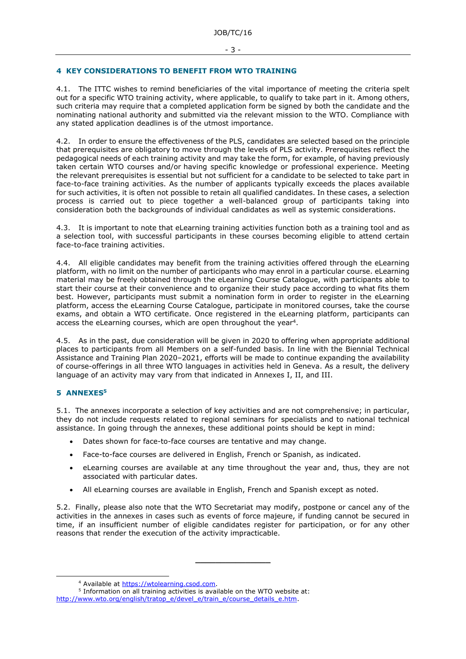#### **4 KEY CONSIDERATIONS TO BENEFIT FROM WTO TRAINING**

4.1. The ITTC wishes to remind beneficiaries of the vital importance of meeting the criteria spelt out for a specific WTO training activity, where applicable, to qualify to take part in it. Among others, such criteria may require that a completed application form be signed by both the candidate and the nominating national authority and submitted via the relevant mission to the WTO. Compliance with any stated application deadlines is of the utmost importance.

4.2. In order to ensure the effectiveness of the PLS, candidates are selected based on the principle that prerequisites are obligatory to move through the levels of PLS activity. Prerequisites reflect the pedagogical needs of each training activity and may take the form, for example, of having previously taken certain WTO courses and/or having specific knowledge or professional experience. Meeting the relevant prerequisites is essential but not sufficient for a candidate to be selected to take part in face-to-face training activities. As the number of applicants typically exceeds the places available for such activities, it is often not possible to retain all qualified candidates. In these cases, a selection process is carried out to piece together a well-balanced group of participants taking into consideration both the backgrounds of individual candidates as well as systemic considerations.

4.3. It is important to note that eLearning training activities function both as a training tool and as a selection tool, with successful participants in these courses becoming eligible to attend certain face-to-face training activities.

4.4. All eligible candidates may benefit from the training activities offered through the eLearning platform, with no limit on the number of participants who may enrol in a particular course. eLearning material may be freely obtained through the eLearning Course Catalogue, with participants able to start their course at their convenience and to organize their study pace according to what fits them best. However, participants must submit a nomination form in order to register in the eLearning platform, access the eLearning Course Catalogue, participate in monitored courses, take the course exams, and obtain a WTO certificate. Once registered in the eLearning platform, participants can access the eLearning courses, which are open throughout the year<sup>4</sup>.

4.5. As in the past, due consideration will be given in 2020 to offering when appropriate additional places to participants from all Members on a self-funded basis. In line with the Biennial Technical Assistance and Training Plan 2020–2021, efforts will be made to continue expanding the availability of course-offerings in all three WTO languages in activities held in Geneva. As a result, the delivery language of an activity may vary from that indicated in Annexes I, II, and III.

#### **5 ANNEXES<sup>5</sup>**

5.1. The annexes incorporate a selection of key activities and are not comprehensive; in particular, they do not include requests related to regional seminars for specialists and to national technical assistance. In going through the annexes, these additional points should be kept in mind:

- Dates shown for face-to-face courses are tentative and may change.
- Face-to-face courses are delivered in English, French or Spanish, as indicated.
- eLearning courses are available at any time throughout the year and, thus, they are not associated with particular dates.
- All eLearning courses are available in English, French and Spanish except as noted.

5.2. Finally, please also note that the WTO Secretariat may modify, postpone or cancel any of the activities in the annexes in cases such as events of force majeure, if funding cannot be secured in time, if an insufficient number of eligible candidates register for participation, or for any other reasons that render the execution of the activity impracticable.

**\_\_\_\_\_\_\_\_\_\_\_\_\_\_\_**

<sup>4</sup> Available at [https://wtolearning.csod.com.](https://wtolearning.csod.com/)

<sup>&</sup>lt;sup>5</sup> Information on all training activities is available on the WTO website at: [http://www.wto.org/english/tratop\\_e/devel\\_e/train\\_e/course\\_details\\_e.htm.](http://www.wto.org/english/tratop_e/devel_e/train_e/course_details_e.htm)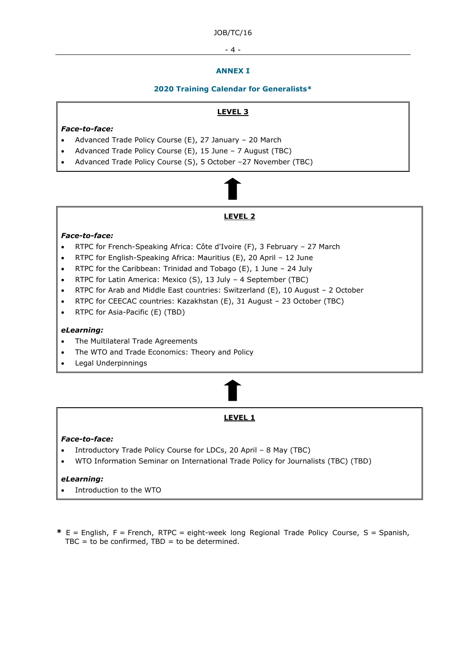#### - 4 -

#### **ANNEX I**

#### **2020 Training Calendar for Generalists\***

#### **LEVEL 3**

#### *Face-to-face:*

- Advanced Trade Policy Course (E), 27 January 20 March
- Advanced Trade Policy Course (E), 15 June 7 August (TBC)
- Advanced Trade Policy Course (S), 5 October –27 November (TBC)

**LEVEL 2**

#### *Face-to-face:*

- RTPC for French-Speaking Africa: Côte d'Ivoire (F), 3 February 27 March
- RTPC for English-Speaking Africa: Mauritius (E), 20 April 12 June
- RTPC for the Caribbean: Trinidad and Tobago (E), 1 June 24 July
- RTPC for Latin America: Mexico (S), 13 July 4 September (TBC)
- RTPC for Arab and Middle East countries: Switzerland (E), 10 August 2 October
- RTPC for CEECAC countries: Kazakhstan (E), 31 August 23 October (TBC)
- RTPC for Asia-Pacific (E) (TBD)

#### *eLearning:*

- The Multilateral Trade Agreements
- The WTO and Trade Economics: Theory and Policy
- Legal Underpinnings

## **LEVEL 1**

#### *Face-to-face:*

- Introductory Trade Policy Course for LDCs, 20 April 8 May (TBC)
- WTO Information Seminar on International Trade Policy for Journalists (TBC) (TBD)

#### *eLearning:*

- Introduction to the WTO
- **\*** E = English, F = French, RTPC = eight-week long Regional Trade Policy Course, S = Spanish,  $TBC = to be confirmed, TBD = to be determined.$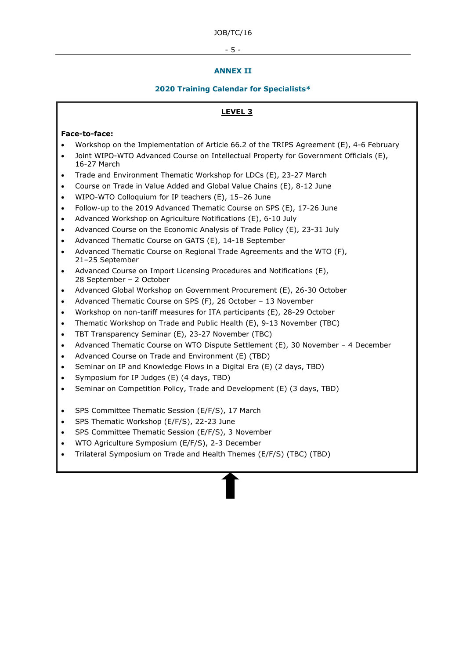#### - 5 -

#### **ANNEX II**

#### **2020 Training Calendar for Specialists\***

#### **LEVEL 3**

#### **Face-to-face:**

- Workshop on the Implementation of Article 66.2 of the TRIPS Agreement (E), 4-6 February
- Joint WIPO-WTO Advanced Course on Intellectual Property for Government Officials (E), 16-27 March
- Trade and Environment Thematic Workshop for LDCs (E), 23-27 March
- Course on Trade in Value Added and Global Value Chains (E), 8-12 June
- WIPO-WTO Colloquium for IP teachers (E), 15–26 June
- Follow-up to the 2019 Advanced Thematic Course on SPS (E), 17-26 June
- Advanced Workshop on Agriculture Notifications (E), 6-10 July
- Advanced Course on the Economic Analysis of Trade Policy (E), 23-31 July
- Advanced Thematic Course on GATS (E), 14-18 September
- Advanced Thematic Course on Regional Trade Agreements and the WTO (F), 21–25 September
- Advanced Course on Import Licensing Procedures and Notifications (E), 28 September – 2 October
- Advanced Global Workshop on Government Procurement (E), 26-30 October
- Advanced Thematic Course on SPS (F), 26 October 13 November
- Workshop on non-tariff measures for ITA participants (E), 28-29 October
- Thematic Workshop on Trade and Public Health (E), 9-13 November (TBC)
- TBT Transparency Seminar (E), 23-27 November (TBC)
- Advanced Thematic Course on WTO Dispute Settlement (E), 30 November 4 December
- Advanced Course on Trade and Environment (E) (TBD)
- Seminar on IP and Knowledge Flows in a Digital Era (E) (2 days, TBD)
- Symposium for IP Judges (E) (4 days, TBD)
- Seminar on Competition Policy, Trade and Development (E) (3 days, TBD)
- SPS Committee Thematic Session (E/F/S), 17 March
- SPS Thematic Workshop (E/F/S), 22-23 June
- SPS Committee Thematic Session (E/F/S), 3 November
- WTO Agriculture Symposium (E/F/S), 2-3 December
- Trilateral Symposium on Trade and Health Themes (E/F/S) (TBC) (TBD)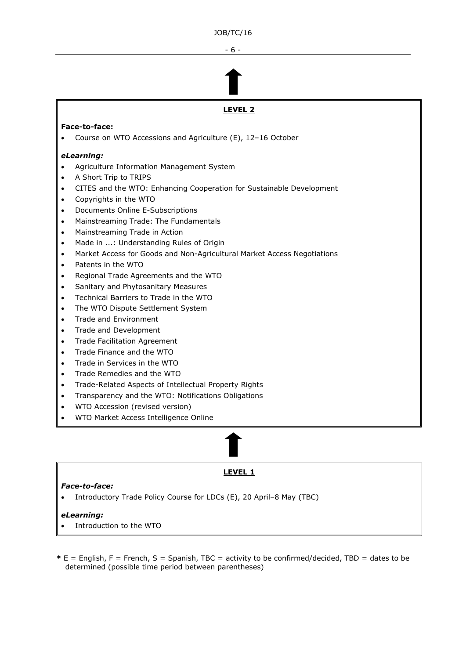- 6 -

# **LEVEL 2**

#### **Face-to-face:**

• Course on WTO Accessions and Agriculture (E), 12–16 October

#### *eLearning:*

- Agriculture Information Management System
- A Short Trip to TRIPS
- CITES and the WTO: Enhancing Cooperation for Sustainable Development
- Copyrights in the WTO
- Documents Online E-Subscriptions
- Mainstreaming Trade: The Fundamentals
- Mainstreaming Trade in Action
- Made in ...: Understanding Rules of Origin
- Market Access for Goods and Non-Agricultural Market Access Negotiations
- Patents in the WTO
- Regional Trade Agreements and the WTO
- Sanitary and Phytosanitary Measures
- Technical Barriers to Trade in the WTO
- The WTO Dispute Settlement System
- Trade and Environment
- Trade and Development
- Trade Facilitation Agreement
- Trade Finance and the WTO
- Trade in Services in the WTO
- Trade Remedies and the WTO
- Trade-Related Aspects of Intellectual Property Rights
- Transparency and the WTO: Notifications Obligations
- WTO Accession (revised version)
- WTO Market Access Intelligence Online

#### **LEVEL 1**

#### *Face-to-face:*

• Introductory Trade Policy Course for LDCs (E), 20 April–8 May (TBC)

#### *eLearning:*

- Introduction to the WTO
- **\*** E = English, F = French, S = Spanish, TBC = activity to be confirmed/decided, TBD = dates to be determined (possible time period between parentheses)